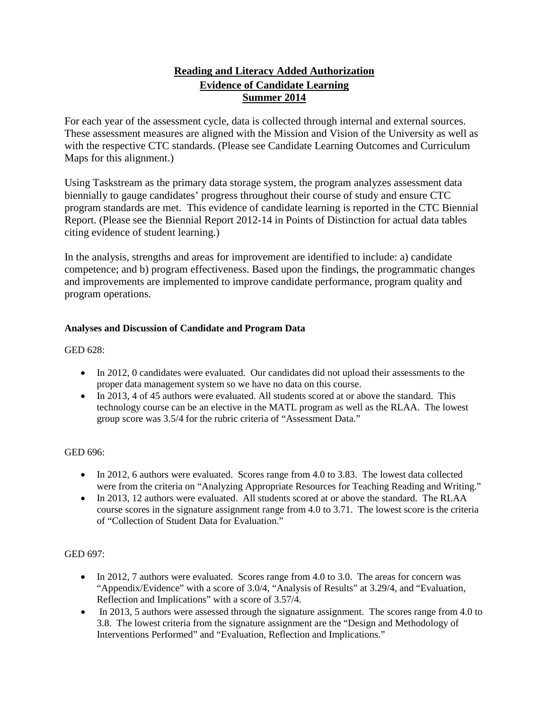# **Reading and Literacy Added Authorization Evidence of Candidate Learning Summer 2014**

For each year of the assessment cycle, data is collected through internal and external sources. These assessment measures are aligned with the Mission and Vision of the University as well as with the respective CTC standards. (Please see Candidate Learning Outcomes and Curriculum Maps for this alignment.)

Using Taskstream as the primary data storage system, the program analyzes assessment data biennially to gauge candidates' progress throughout their course of study and ensure CTC program standards are met. This evidence of candidate learning is reported in the CTC Biennial Report. (Please see the Biennial Report 2012-14 in Points of Distinction for actual data tables citing evidence of student learning.)

In the analysis, strengths and areas for improvement are identified to include: a) candidate competence; and b) program effectiveness. Based upon the findings, the programmatic changes and improvements are implemented to improve candidate performance, program quality and program operations.

## **Analyses and Discussion of Candidate and Program Data**

### GED 628:

- In 2012, 0 candidates were evaluated. Our candidates did not upload their assessments to the proper data management system so we have no data on this course.
- In 2013, 4 of 45 authors were evaluated. All students scored at or above the standard. This technology course can be an elective in the MATL program as well as the RLAA. The lowest group score was 3.5/4 for the rubric criteria of "Assessment Data."

### GED 696:

- In 2012, 6 authors were evaluated. Scores range from 4.0 to 3.83. The lowest data collected were from the criteria on "Analyzing Appropriate Resources for Teaching Reading and Writing."
- In 2013, 12 authors were evaluated. All students scored at or above the standard. The RLAA course scores in the signature assignment range from 4.0 to 3.71. The lowest score is the criteria of "Collection of Student Data for Evaluation."

### GED 697:

- In 2012, 7 authors were evaluated. Scores range from 4.0 to 3.0. The areas for concern was "Appendix/Evidence" with a score of 3.0/4, "Analysis of Results" at 3.29/4, and "Evaluation, Reflection and Implications" with a score of 3.57/4.
- In 2013, 5 authors were assessed through the signature assignment. The scores range from 4.0 to 3.8. The lowest criteria from the signature assignment are the "Design and Methodology of Interventions Performed" and "Evaluation, Reflection and Implications."